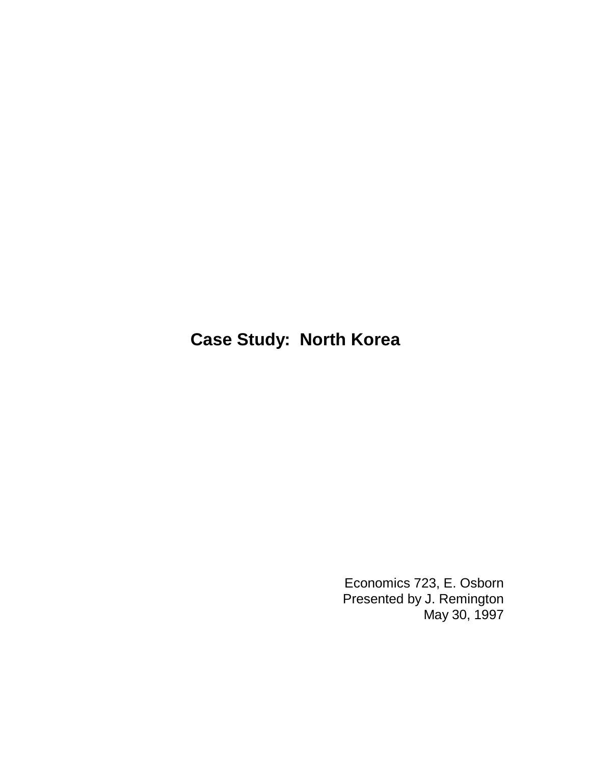## **Case Study: North Korea**

Economics 723, E. Osborn Presented by J. Remington May 30, 1997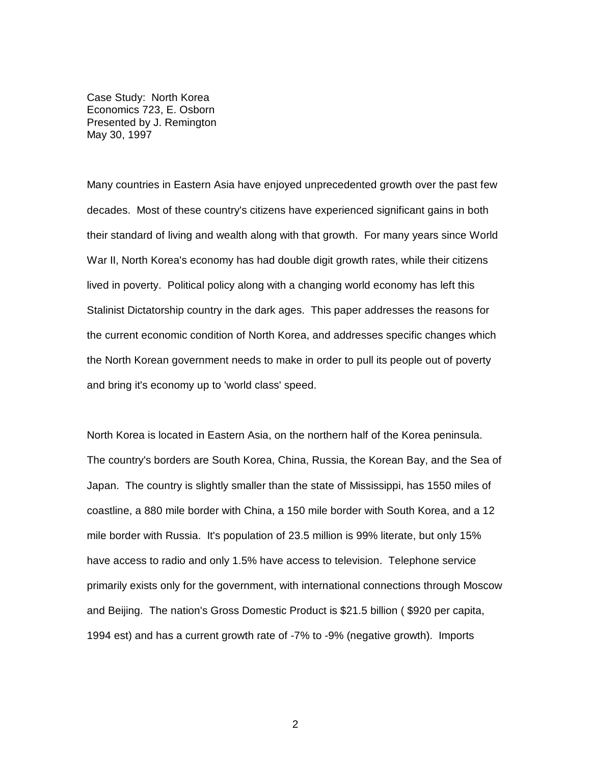Case Study: North Korea Economics 723, E. Osborn Presented by J. Remington May 30, 1997

Many countries in Eastern Asia have enjoyed unprecedented growth over the past few decades. Most of these country's citizens have experienced significant gains in both their standard of living and wealth along with that growth. For many years since World War II, North Korea's economy has had double digit growth rates, while their citizens lived in poverty. Political policy along with a changing world economy has left this Stalinist Dictatorship country in the dark ages. This paper addresses the reasons for the current economic condition of North Korea, and addresses specific changes which the North Korean government needs to make in order to pull its people out of poverty and bring it's economy up to 'world class' speed.

North Korea is located in Eastern Asia, on the northern half of the Korea peninsula. The country's borders are South Korea, China, Russia, the Korean Bay, and the Sea of Japan. The country is slightly smaller than the state of Mississippi, has 1550 miles of coastline, a 880 mile border with China, a 150 mile border with South Korea, and a 12 mile border with Russia. It's population of 23.5 million is 99% literate, but only 15% have access to radio and only 1.5% have access to television. Telephone service primarily exists only for the government, with international connections through Moscow and Beijing. The nation's Gross Domestic Product is \$21.5 billion ( \$920 per capita, 1994 est) and has a current growth rate of -7% to -9% (negative growth). Imports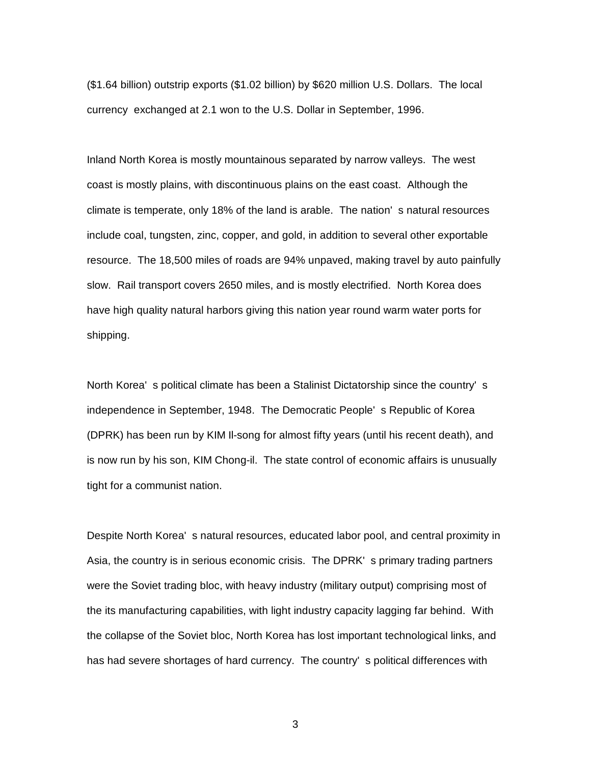(\$1.64 billion) outstrip exports (\$1.02 billion) by \$620 million U.S. Dollars. The local currency exchanged at 2.1 won to the U.S. Dollar in September, 1996.

Inland North Korea is mostly mountainous separated by narrow valleys. The west coast is mostly plains, with discontinuous plains on the east coast. Although the climate is temperate, only 18% of the land is arable. The nation' s natural resources include coal, tungsten, zinc, copper, and gold, in addition to several other exportable resource. The 18,500 miles of roads are 94% unpaved, making travel by auto painfully slow. Rail transport covers 2650 miles, and is mostly electrified. North Korea does have high quality natural harbors giving this nation year round warm water ports for shipping.

North Korea' s political climate has been a Stalinist Dictatorship since the country' s independence in September, 1948. The Democratic People' s Republic of Korea (DPRK) has been run by KIM Il-song for almost fifty years (until his recent death), and is now run by his son, KIM Chong-il. The state control of economic affairs is unusually tight for a communist nation.

Despite North Korea' s natural resources, educated labor pool, and central proximity in Asia, the country is in serious economic crisis. The DPRK' s primary trading partners were the Soviet trading bloc, with heavy industry (military output) comprising most of the its manufacturing capabilities, with light industry capacity lagging far behind. With the collapse of the Soviet bloc, North Korea has lost important technological links, and has had severe shortages of hard currency. The country' s political differences with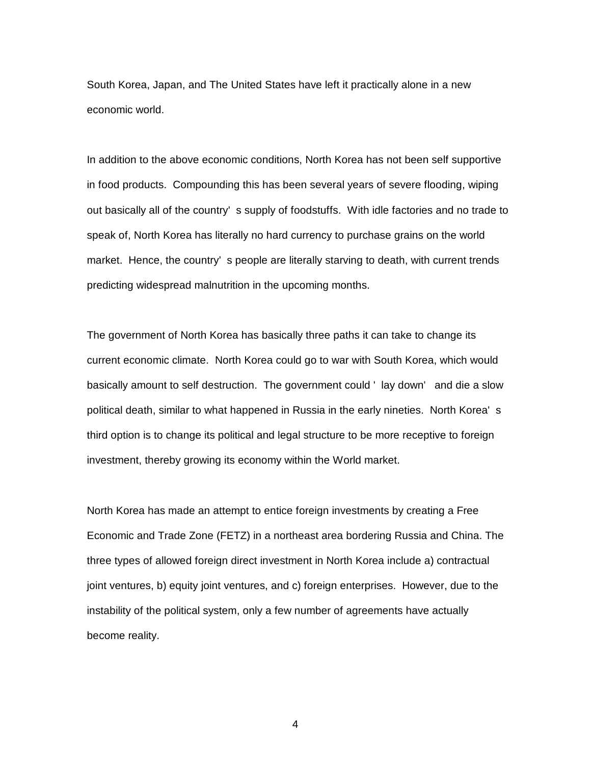South Korea, Japan, and The United States have left it practically alone in a new economic world.

In addition to the above economic conditions, North Korea has not been self supportive in food products. Compounding this has been several years of severe flooding, wiping out basically all of the country' s supply of foodstuffs. With idle factories and no trade to speak of, North Korea has literally no hard currency to purchase grains on the world market. Hence, the country' s people are literally starving to death, with current trends predicting widespread malnutrition in the upcoming months.

The government of North Korea has basically three paths it can take to change its current economic climate. North Korea could go to war with South Korea, which would basically amount to self destruction. The government could ' lay down' and die a slow political death, similar to what happened in Russia in the early nineties. North Korea' s third option is to change its political and legal structure to be more receptive to foreign investment, thereby growing its economy within the World market.

North Korea has made an attempt to entice foreign investments by creating a Free Economic and Trade Zone (FETZ) in a northeast area bordering Russia and China. The three types of allowed foreign direct investment in North Korea include a) contractual joint ventures, b) equity joint ventures, and c) foreign enterprises. However, due to the instability of the political system, only a few number of agreements have actually become reality.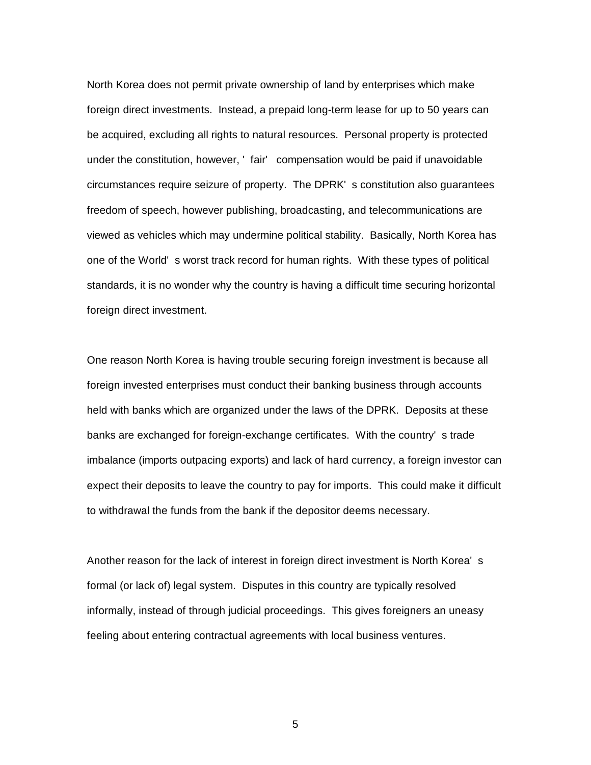North Korea does not permit private ownership of land by enterprises which make foreign direct investments. Instead, a prepaid long-term lease for up to 50 years can be acquired, excluding all rights to natural resources. Personal property is protected under the constitution, however, ' fair' compensation would be paid if unavoidable circumstances require seizure of property. The DPRK' s constitution also guarantees freedom of speech, however publishing, broadcasting, and telecommunications are viewed as vehicles which may undermine political stability. Basically, North Korea has one of the World' s worst track record for human rights. With these types of political standards, it is no wonder why the country is having a difficult time securing horizontal foreign direct investment.

One reason North Korea is having trouble securing foreign investment is because all foreign invested enterprises must conduct their banking business through accounts held with banks which are organized under the laws of the DPRK. Deposits at these banks are exchanged for foreign-exchange certificates. With the country' s trade imbalance (imports outpacing exports) and lack of hard currency, a foreign investor can expect their deposits to leave the country to pay for imports. This could make it difficult to withdrawal the funds from the bank if the depositor deems necessary.

Another reason for the lack of interest in foreign direct investment is North Korea' s formal (or lack of) legal system. Disputes in this country are typically resolved informally, instead of through judicial proceedings. This gives foreigners an uneasy feeling about entering contractual agreements with local business ventures.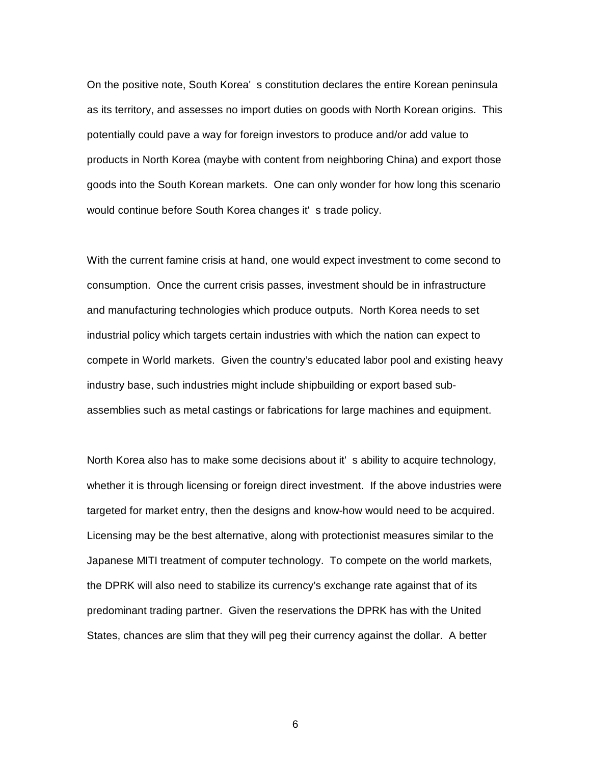On the positive note, South Korea' s constitution declares the entire Korean peninsula as its territory, and assesses no import duties on goods with North Korean origins. This potentially could pave a way for foreign investors to produce and/or add value to products in North Korea (maybe with content from neighboring China) and export those goods into the South Korean markets. One can only wonder for how long this scenario would continue before South Korea changes it' s trade policy.

With the current famine crisis at hand, one would expect investment to come second to consumption. Once the current crisis passes, investment should be in infrastructure and manufacturing technologies which produce outputs. North Korea needs to set industrial policy which targets certain industries with which the nation can expect to compete in World markets. Given the country's educated labor pool and existing heavy industry base, such industries might include shipbuilding or export based subassemblies such as metal castings or fabrications for large machines and equipment.

North Korea also has to make some decisions about it' s ability to acquire technology, whether it is through licensing or foreign direct investment. If the above industries were targeted for market entry, then the designs and know-how would need to be acquired. Licensing may be the best alternative, along with protectionist measures similar to the Japanese MITI treatment of computer technology. To compete on the world markets, the DPRK will also need to stabilize its currency's exchange rate against that of its predominant trading partner. Given the reservations the DPRK has with the United States, chances are slim that they will peg their currency against the dollar. A better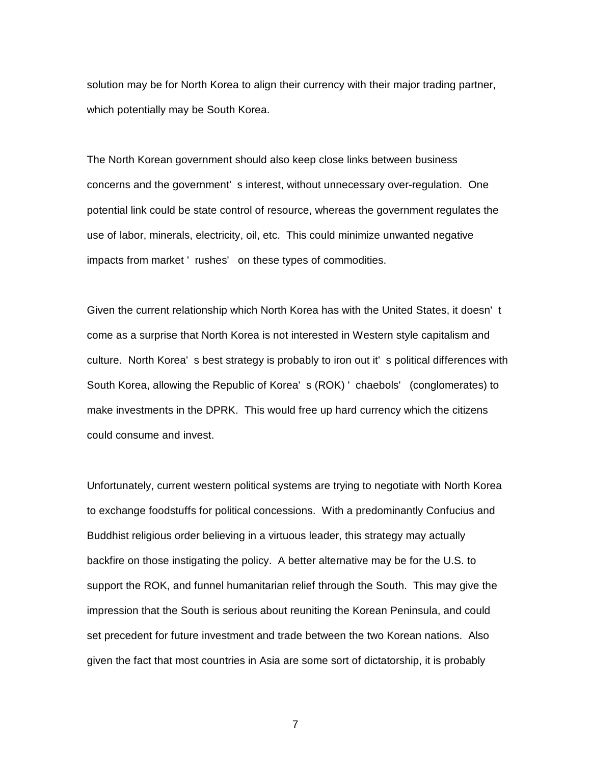solution may be for North Korea to align their currency with their major trading partner, which potentially may be South Korea.

The North Korean government should also keep close links between business concerns and the government' s interest, without unnecessary over-regulation. One potential link could be state control of resource, whereas the government regulates the use of labor, minerals, electricity, oil, etc. This could minimize unwanted negative impacts from market ' rushes' on these types of commodities.

Given the current relationship which North Korea has with the United States, it doesn' t come as a surprise that North Korea is not interested in Western style capitalism and culture. North Korea' s best strategy is probably to iron out it' s political differences with South Korea, allowing the Republic of Korea' s (ROK) ' chaebols' (conglomerates) to make investments in the DPRK. This would free up hard currency which the citizens could consume and invest.

Unfortunately, current western political systems are trying to negotiate with North Korea to exchange foodstuffs for political concessions. With a predominantly Confucius and Buddhist religious order believing in a virtuous leader, this strategy may actually backfire on those instigating the policy. A better alternative may be for the U.S. to support the ROK, and funnel humanitarian relief through the South. This may give the impression that the South is serious about reuniting the Korean Peninsula, and could set precedent for future investment and trade between the two Korean nations. Also given the fact that most countries in Asia are some sort of dictatorship, it is probably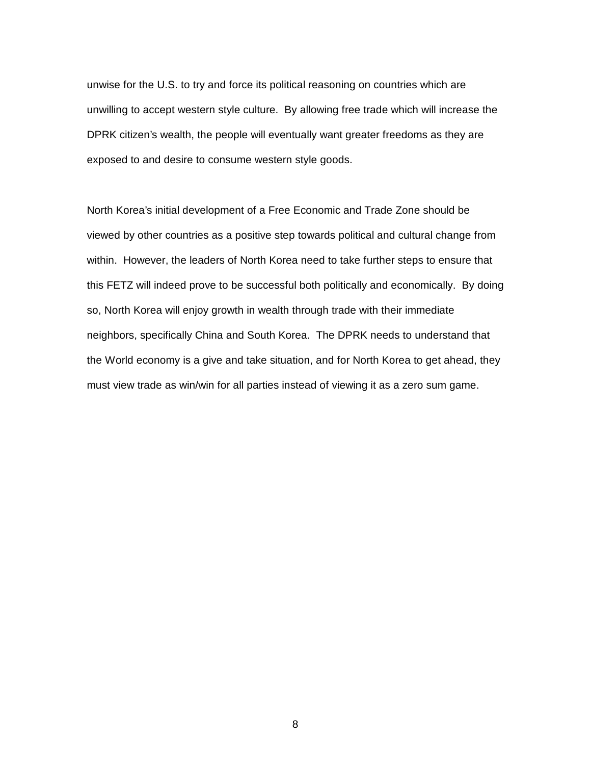unwise for the U.S. to try and force its political reasoning on countries which are unwilling to accept western style culture. By allowing free trade which will increase the DPRK citizen's wealth, the people will eventually want greater freedoms as they are exposed to and desire to consume western style goods.

North Korea's initial development of a Free Economic and Trade Zone should be viewed by other countries as a positive step towards political and cultural change from within. However, the leaders of North Korea need to take further steps to ensure that this FETZ will indeed prove to be successful both politically and economically. By doing so, North Korea will enjoy growth in wealth through trade with their immediate neighbors, specifically China and South Korea. The DPRK needs to understand that the World economy is a give and take situation, and for North Korea to get ahead, they must view trade as win/win for all parties instead of viewing it as a zero sum game.